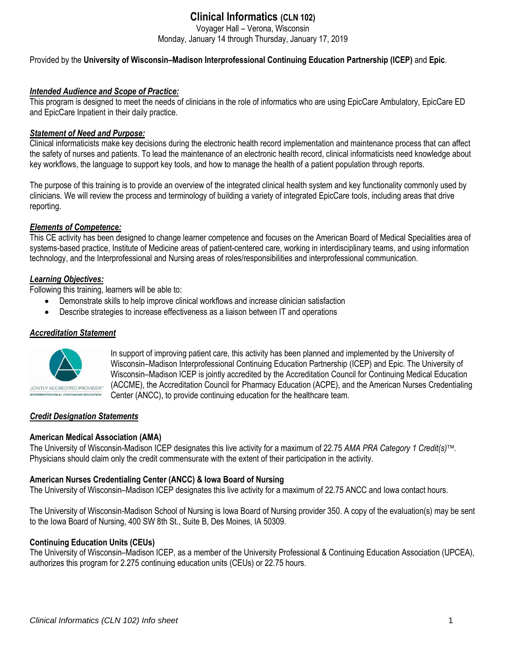# **Clinical Informatics (CLN 102)**

Voyager Hall – Verona, Wisconsin

Monday, January 14 through Thursday, January 17, 2019

Provided by the **University of Wisconsin–Madison Interprofessional Continuing Education Partnership (ICEP)** and **Epic**.

## *Intended Audience and Scope of Practice:*

This program is designed to meet the needs of clinicians in the role of informatics who are using EpicCare Ambulatory, EpicCare ED and EpicCare Inpatient in their daily practice.

## *Statement of Need and Purpose:*

Clinical informaticists make key decisions during the electronic health record implementation and maintenance process that can affect the safety of nurses and patients. To lead the maintenance of an electronic health record, clinical informaticists need knowledge about key workflows, the language to support key tools, and how to manage the health of a patient population through reports.

The purpose of this training is to provide an overview of the integrated clinical health system and key functionality commonly used by clinicians. We will review the process and terminology of building a variety of integrated EpicCare tools, including areas that drive reporting.

## *Elements of Competence:*

This CE activity has been designed to change learner competence and focuses on the American Board of Medical Specialities area of systems-based practice, Institute of Medicine areas of patient-centered care, working in interdisciplinary teams, and using information technology, and the Interprofessional and Nursing areas of roles/responsibilities and interprofessional communication.

## *Learning Objectives:*

Following this training, learners will be able to:

- Demonstrate skills to help improve clinical workflows and increase clinician satisfaction
- Describe strategies to increase effectiveness as a liaison between IT and operations

## *Accreditation Statement*



In support of improving patient care, this activity has been planned and implemented by the University of Wisconsin–Madison Interprofessional Continuing Education Partnership (ICEP) and Epic. The University of Wisconsin–Madison ICEP is jointly accredited by the Accreditation Council for Continuing Medical Education (ACCME), the Accreditation Council for Pharmacy Education (ACPE), and the American Nurses Credentialing Center (ANCC), to provide continuing education for the healthcare team.

## *Credit Designation Statements*

## **American Medical Association (AMA)**

The University of Wisconsin-Madison ICEP designates this live activity for a maximum of 22.75 *AMA PRA Category 1 Credit(s)*. Physicians should claim only the credit commensurate with the extent of their participation in the activity.

## **American Nurses Credentialing Center (ANCC) & Iowa Board of Nursing**

The University of Wisconsin–Madison ICEP designates this live activity for a maximum of 22.75 ANCC and Iowa contact hours.

The University of Wisconsin-Madison School of Nursing is Iowa Board of Nursing provider 350. A copy of the evaluation(s) may be sent to the Iowa Board of Nursing, 400 SW 8th St., Suite B, Des Moines, IA 50309.

## **Continuing Education Units (CEUs)**

The University of Wisconsin–Madison ICEP, as a member of the University Professional & Continuing Education Association (UPCEA), authorizes this program for 2.275 continuing education units (CEUs) or 22.75 hours.